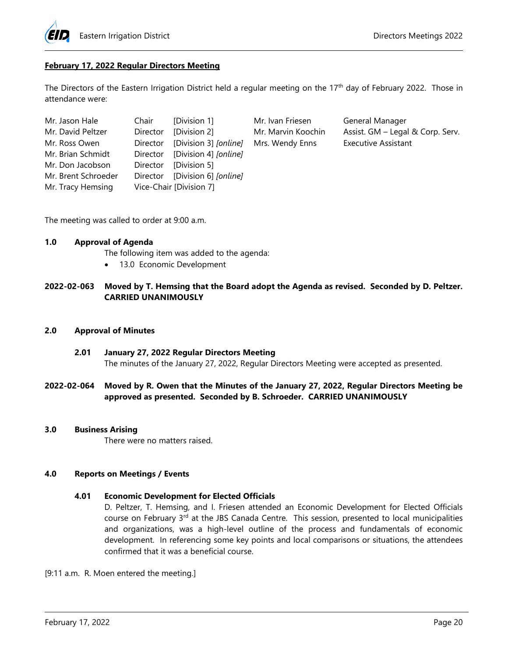

### **February 17, 2022 Regular Directors Meeting**

The Directors of the Eastern Irrigation District held a regular meeting on the 17<sup>th</sup> day of February 2022. Those in attendance were:

| Mr. Jason Hale      | Chair [Division 1]             |
|---------------------|--------------------------------|
| Mr. David Peltzer   | Director [Division 2]          |
| Mr. Ross Owen       | Director [Division 3] [online] |
| Mr. Brian Schmidt   | Director [Division 4] [online] |
| Mr. Don Jacobson    | Director [Division 5]          |
| Mr. Brent Schroeder | Director [Division 6] [online] |
| Mr. Tracy Hemsing   | Vice-Chair [Division 7]        |

Mr. Ivan Friesen General Manager Mrs. Wendy Enns **Executive Assistant** 

Mr. Marvin Koochin Assist. GM – Legal & Corp. Serv.

The meeting was called to order at 9:00 a.m.

## **1.0 Approval of Agenda**

The following item was added to the agenda:

• 13.0 Economic Development

### **2022-02-063 Moved by T. Hemsing that the Board adopt the Agenda as revised. Seconded by D. Peltzer. CARRIED UNANIMOUSLY**

#### **2.0 Approval of Minutes**

- **2.01 January 27, 2022 Regular Directors Meeting** The minutes of the January 27, 2022, Regular Directors Meeting were accepted as presented.
- **2022-02-064 Moved by R. Owen that the Minutes of the January 27, 2022, Regular Directors Meeting be approved as presented. Seconded by B. Schroeder. CARRIED UNANIMOUSLY**

#### **3.0 Business Arising**

There were no matters raised.

#### **4.0 Reports on Meetings / Events**

#### **4.01 Economic Development for Elected Officials**

D. Peltzer, T. Hemsing, and I. Friesen attended an Economic Development for Elected Officials course on February  $3<sup>rd</sup>$  at the JBS Canada Centre. This session, presented to local municipalities and organizations, was a high-level outline of the process and fundamentals of economic development. In referencing some key points and local comparisons or situations, the attendees confirmed that it was a beneficial course.

[9:11 a.m. R. Moen entered the meeting.]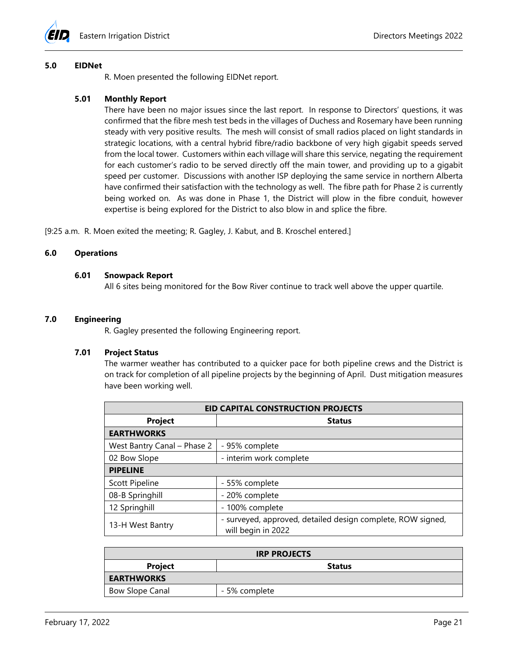

#### **5.0 EIDNet**

R. Moen presented the following EIDNet report.

### **5.01 Monthly Report**

There have been no major issues since the last report. In response to Directors' questions, it was confirmed that the fibre mesh test beds in the villages of Duchess and Rosemary have been running steady with very positive results. The mesh will consist of small radios placed on light standards in strategic locations, with a central hybrid fibre/radio backbone of very high gigabit speeds served from the local tower. Customers within each village will share this service, negating the requirement for each customer's radio to be served directly off the main tower, and providing up to a gigabit speed per customer. Discussions with another ISP deploying the same service in northern Alberta have confirmed their satisfaction with the technology as well. The fibre path for Phase 2 is currently being worked on. As was done in Phase 1, the District will plow in the fibre conduit, however expertise is being explored for the District to also blow in and splice the fibre.

[9:25 a.m. R. Moen exited the meeting; R. Gagley, J. Kabut, and B. Kroschel entered.]

### **6.0 Operations**

#### **6.01 Snowpack Report**

All 6 sites being monitored for the Bow River continue to track well above the upper quartile.

### **7.0 Engineering**

R. Gagley presented the following Engineering report.

#### **7.01 Project Status**

The warmer weather has contributed to a quicker pace for both pipeline crews and the District is on track for completion of all pipeline projects by the beginning of April. Dust mitigation measures have been working well.

| <b>EID CAPITAL CONSTRUCTION PROJECTS</b> |                                                                                   |  |  |  |
|------------------------------------------|-----------------------------------------------------------------------------------|--|--|--|
| <b>Project</b>                           | <b>Status</b>                                                                     |  |  |  |
| <b>EARTHWORKS</b>                        |                                                                                   |  |  |  |
| West Bantry Canal - Phase 2              | - 95% complete                                                                    |  |  |  |
| 02 Bow Slope                             | - interim work complete                                                           |  |  |  |
| <b>PIPELINE</b>                          |                                                                                   |  |  |  |
| <b>Scott Pipeline</b>                    | - 55% complete                                                                    |  |  |  |
| 08-B Springhill                          | - 20% complete                                                                    |  |  |  |
| 12 Springhill                            | - 100% complete                                                                   |  |  |  |
| 13-H West Bantry                         | - surveyed, approved, detailed design complete, ROW signed,<br>will begin in 2022 |  |  |  |

| <b>IRP PROJECTS</b>    |               |  |  |  |
|------------------------|---------------|--|--|--|
| <b>Project</b>         | <b>Status</b> |  |  |  |
| <b>EARTHWORKS</b>      |               |  |  |  |
| <b>Bow Slope Canal</b> | - 5% complete |  |  |  |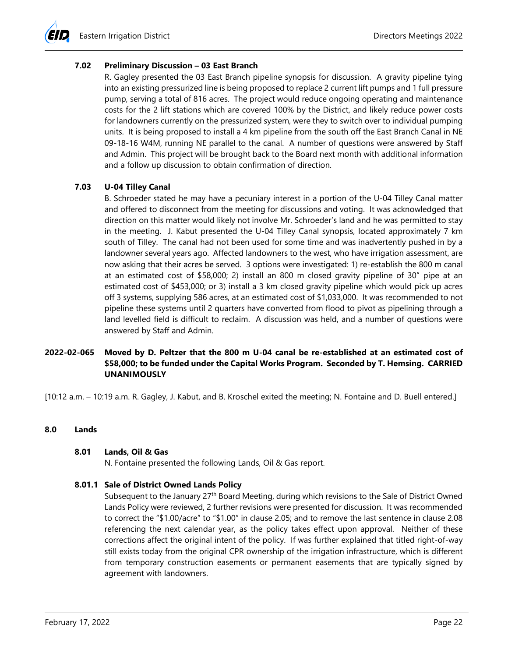### **7.02 Preliminary Discussion – 03 East Branch**

R. Gagley presented the 03 East Branch pipeline synopsis for discussion. A gravity pipeline tying into an existing pressurized line is being proposed to replace 2 current lift pumps and 1 full pressure pump, serving a total of 816 acres. The project would reduce ongoing operating and maintenance costs for the 2 lift stations which are covered 100% by the District, and likely reduce power costs for landowners currently on the pressurized system, were they to switch over to individual pumping units. It is being proposed to install a 4 km pipeline from the south off the East Branch Canal in NE 09-18-16 W4M, running NE parallel to the canal. A number of questions were answered by Staff and Admin. This project will be brought back to the Board next month with additional information and a follow up discussion to obtain confirmation of direction.

### **7.03 U-04 Tilley Canal**

B. Schroeder stated he may have a pecuniary interest in a portion of the U-04 Tilley Canal matter and offered to disconnect from the meeting for discussions and voting. It was acknowledged that direction on this matter would likely not involve Mr. Schroeder's land and he was permitted to stay in the meeting. J. Kabut presented the U-04 Tilley Canal synopsis, located approximately 7 km south of Tilley. The canal had not been used for some time and was inadvertently pushed in by a landowner several years ago. Affected landowners to the west, who have irrigation assessment, are now asking that their acres be served. 3 options were investigated: 1) re-establish the 800 m canal at an estimated cost of \$58,000; 2) install an 800 m closed gravity pipeline of 30" pipe at an estimated cost of \$453,000; or 3) install a 3 km closed gravity pipeline which would pick up acres off 3 systems, supplying 586 acres, at an estimated cost of \$1,033,000. It was recommended to not pipeline these systems until 2 quarters have converted from flood to pivot as pipelining through a land levelled field is difficult to reclaim. A discussion was held, and a number of questions were answered by Staff and Admin.

# **2022-02-065 Moved by D. Peltzer that the 800 m U-04 canal be re-established at an estimated cost of \$58,000; to be funded under the Capital Works Program. Seconded by T. Hemsing. CARRIED UNANIMOUSLY**

[10:12 a.m. – 10:19 a.m. R. Gagley, J. Kabut, and B. Kroschel exited the meeting; N. Fontaine and D. Buell entered.]

### **8.0 Lands**

### **8.01 Lands, Oil & Gas**

N. Fontaine presented the following Lands, Oil & Gas report.

### **8.01.1 Sale of District Owned Lands Policy**

Subsequent to the January 27<sup>th</sup> Board Meeting, during which revisions to the Sale of District Owned Lands Policy were reviewed, 2 further revisions were presented for discussion. It was recommended to correct the "\$1.00/acre" to "\$1.00" in clause 2.05; and to remove the last sentence in clause 2.08 referencing the next calendar year, as the policy takes effect upon approval. Neither of these corrections affect the original intent of the policy. If was further explained that titled right-of-way still exists today from the original CPR ownership of the irrigation infrastructure, which is different from temporary construction easements or permanent easements that are typically signed by agreement with landowners.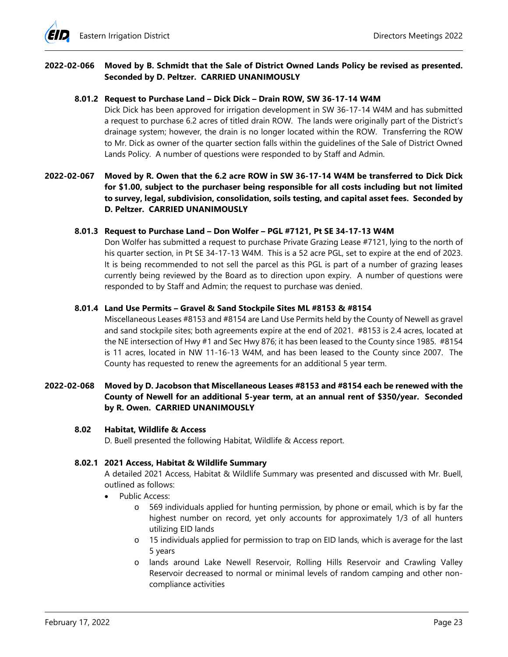

# **2022-02-066 Moved by B. Schmidt that the Sale of District Owned Lands Policy be revised as presented. Seconded by D. Peltzer. CARRIED UNANIMOUSLY**

#### **8.01.2 Request to Purchase Land – Dick Dick – Drain ROW, SW 36-17-14 W4M**

Dick Dick has been approved for irrigation development in SW 36-17-14 W4M and has submitted a request to purchase 6.2 acres of titled drain ROW. The lands were originally part of the District's drainage system; however, the drain is no longer located within the ROW. Transferring the ROW to Mr. Dick as owner of the quarter section falls within the guidelines of the Sale of District Owned Lands Policy. A number of questions were responded to by Staff and Admin.

# **2022-02-067 Moved by R. Owen that the 6.2 acre ROW in SW 36-17-14 W4M be transferred to Dick Dick for \$1.00, subject to the purchaser being responsible for all costs including but not limited to survey, legal, subdivision, consolidation, soils testing, and capital asset fees. Seconded by D. Peltzer. CARRIED UNANIMOUSLY**

#### **8.01.3 Request to Purchase Land – Don Wolfer – PGL #7121, Pt SE 34-17-13 W4M**

Don Wolfer has submitted a request to purchase Private Grazing Lease #7121, lying to the north of his quarter section, in Pt SE 34-17-13 W4M. This is a 52 acre PGL, set to expire at the end of 2023. It is being recommended to not sell the parcel as this PGL is part of a number of grazing leases currently being reviewed by the Board as to direction upon expiry. A number of questions were responded to by Staff and Admin; the request to purchase was denied.

#### **8.01.4 Land Use Permits – Gravel & Sand Stockpile Sites ML #8153 & #8154**

Miscellaneous Leases #8153 and #8154 are Land Use Permits held by the County of Newell as gravel and sand stockpile sites; both agreements expire at the end of 2021. #8153 is 2.4 acres, located at the NE intersection of Hwy #1 and Sec Hwy 876; it has been leased to the County since 1985. #8154 is 11 acres, located in NW 11-16-13 W4M, and has been leased to the County since 2007. The County has requested to renew the agreements for an additional 5 year term.

# **2022-02-068 Moved by D. Jacobson that Miscellaneous Leases #8153 and #8154 each be renewed with the County of Newell for an additional 5-year term, at an annual rent of \$350/year. Seconded by R. Owen. CARRIED UNANIMOUSLY**

#### **8.02 Habitat, Wildlife & Access**

D. Buell presented the following Habitat, Wildlife & Access report.

### **8.02.1 2021 Access, Habitat & Wildlife Summary**

A detailed 2021 Access, Habitat & Wildlife Summary was presented and discussed with Mr. Buell, outlined as follows:

- Public Access:
	- o 569 individuals applied for hunting permission, by phone or email, which is by far the highest number on record, yet only accounts for approximately 1/3 of all hunters utilizing EID lands
	- o 15 individuals applied for permission to trap on EID lands, which is average for the last 5 years
	- o lands around Lake Newell Reservoir, Rolling Hills Reservoir and Crawling Valley Reservoir decreased to normal or minimal levels of random camping and other noncompliance activities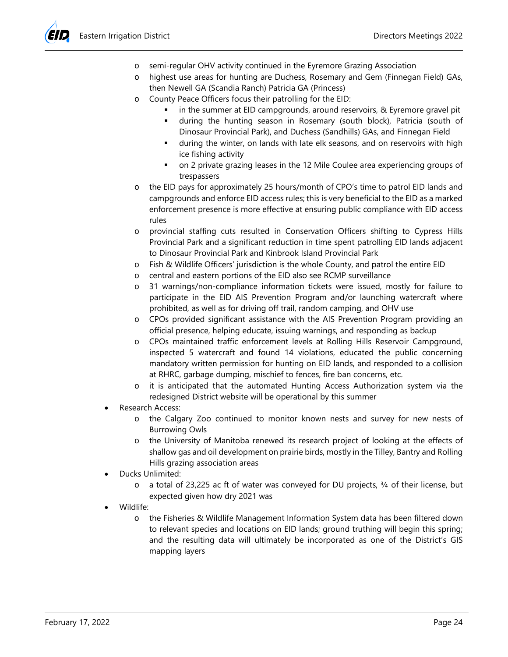- o semi-regular OHV activity continued in the Eyremore Grazing Association
- o highest use areas for hunting are Duchess, Rosemary and Gem (Finnegan Field) GAs, then Newell GA (Scandia Ranch) Patricia GA (Princess)
- o County Peace Officers focus their patrolling for the EID:
	- in the summer at EID campgrounds, around reservoirs, & Eyremore gravel pit
	- during the hunting season in Rosemary (south block), Patricia (south of Dinosaur Provincial Park), and Duchess (Sandhills) GAs, and Finnegan Field
	- during the winter, on lands with late elk seasons, and on reservoirs with high ice fishing activity
	- on 2 private grazing leases in the 12 Mile Coulee area experiencing groups of trespassers
- o the EID pays for approximately 25 hours/month of CPO's time to patrol EID lands and campgrounds and enforce EID access rules; this is very beneficial to the EID as a marked enforcement presence is more effective at ensuring public compliance with EID access rules
- o provincial staffing cuts resulted in Conservation Officers shifting to Cypress Hills Provincial Park and a significant reduction in time spent patrolling EID lands adjacent to Dinosaur Provincial Park and Kinbrook Island Provincial Park
- o Fish & Wildlife Officers' jurisdiction is the whole County, and patrol the entire EID
- central and eastern portions of the EID also see RCMP surveillance
- o 31 warnings/non-compliance information tickets were issued, mostly for failure to participate in the EID AIS Prevention Program and/or launching watercraft where prohibited, as well as for driving off trail, random camping, and OHV use
- o CPOs provided significant assistance with the AIS Prevention Program providing an official presence, helping educate, issuing warnings, and responding as backup
- o CPOs maintained traffic enforcement levels at Rolling Hills Reservoir Campground, inspected 5 watercraft and found 14 violations, educated the public concerning mandatory written permission for hunting on EID lands, and responded to a collision at RHRC, garbage dumping, mischief to fences, fire ban concerns, etc.
- o it is anticipated that the automated Hunting Access Authorization system via the redesigned District website will be operational by this summer
- Research Access:
	- o the Calgary Zoo continued to monitor known nests and survey for new nests of Burrowing Owls
	- o the University of Manitoba renewed its research project of looking at the effects of shallow gas and oil development on prairie birds, mostly in the Tilley, Bantry and Rolling Hills grazing association areas
- Ducks Unlimited:
	- o a total of 23,225 ac ft of water was conveyed for DU projects, ¾ of their license, but expected given how dry 2021 was
- Wildlife:
	- o the Fisheries & Wildlife Management Information System data has been filtered down to relevant species and locations on EID lands; ground truthing will begin this spring; and the resulting data will ultimately be incorporated as one of the District's GIS mapping layers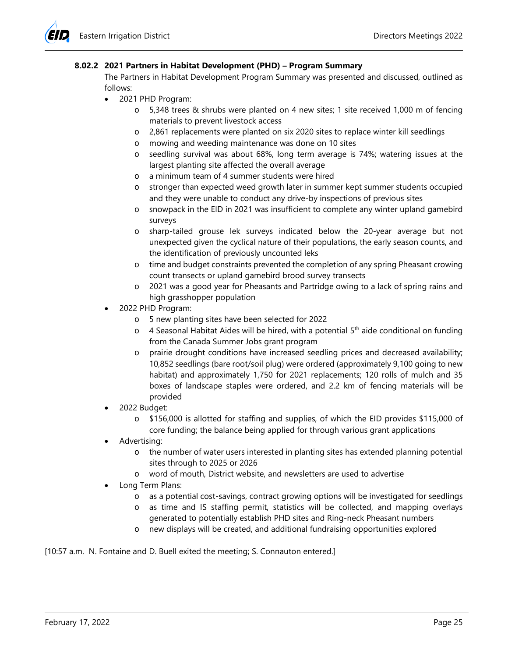## **8.02.2 2021 Partners in Habitat Development (PHD) – Program Summary**

The Partners in Habitat Development Program Summary was presented and discussed, outlined as follows:

- 2021 PHD Program:
	- o 5,348 trees & shrubs were planted on 4 new sites; 1 site received 1,000 m of fencing materials to prevent livestock access
	- o 2,861 replacements were planted on six 2020 sites to replace winter kill seedlings
	- o mowing and weeding maintenance was done on 10 sites
	- o seedling survival was about 68%, long term average is 74%; watering issues at the largest planting site affected the overall average
	- o a minimum team of 4 summer students were hired
	- o stronger than expected weed growth later in summer kept summer students occupied and they were unable to conduct any drive-by inspections of previous sites
	- o snowpack in the EID in 2021 was insufficient to complete any winter upland gamebird surveys
	- o sharp-tailed grouse lek surveys indicated below the 20-year average but not unexpected given the cyclical nature of their populations, the early season counts, and the identification of previously uncounted leks
	- o time and budget constraints prevented the completion of any spring Pheasant crowing count transects or upland gamebird brood survey transects
	- o 2021 was a good year for Pheasants and Partridge owing to a lack of spring rains and high grasshopper population
- 2022 PHD Program:
	- o 5 new planting sites have been selected for 2022
	- $\circ$  4 Seasonal Habitat Aides will be hired, with a potential 5<sup>th</sup> aide conditional on funding from the Canada Summer Jobs grant program
	- o prairie drought conditions have increased seedling prices and decreased availability; 10,852 seedlings (bare root/soil plug) were ordered (approximately 9,100 going to new habitat) and approximately 1,750 for 2021 replacements; 120 rolls of mulch and 35 boxes of landscape staples were ordered, and 2.2 km of fencing materials will be provided
- 2022 Budget:
	- o \$156,000 is allotted for staffing and supplies, of which the EID provides \$115,000 of core funding; the balance being applied for through various grant applications
- Advertising:
	- o the number of water users interested in planting sites has extended planning potential sites through to 2025 or 2026
	- o word of mouth, District website, and newsletters are used to advertise
- Long Term Plans:
	- o as a potential cost-savings, contract growing options will be investigated for seedlings
	- o as time and IS staffing permit, statistics will be collected, and mapping overlays generated to potentially establish PHD sites and Ring-neck Pheasant numbers
	- o new displays will be created, and additional fundraising opportunities explored

[10:57 a.m. N. Fontaine and D. Buell exited the meeting; S. Connauton entered.]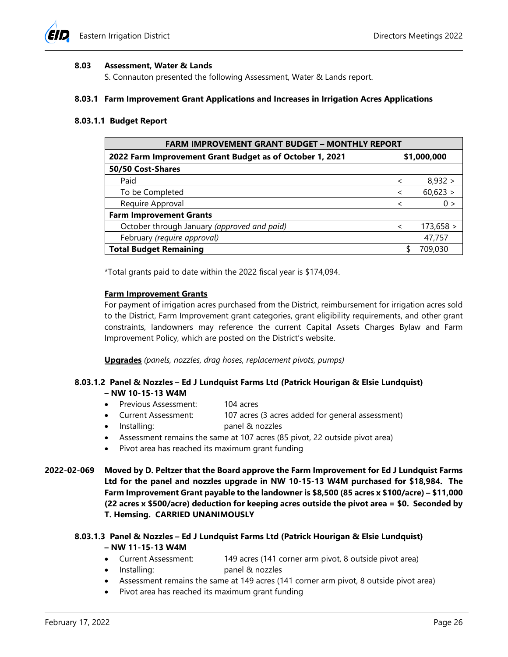

#### **8.03 Assessment, Water & Lands**

S. Connauton presented the following Assessment, Water & Lands report.

#### **8.03.1 Farm Improvement Grant Applications and Increases in Irrigation Acres Applications**

#### **8.03.1.1 Budget Report**

| <b>FARM IMPROVEMENT GRANT BUDGET - MONTHLY REPORT</b>    |                          |             |  |  |
|----------------------------------------------------------|--------------------------|-------------|--|--|
| 2022 Farm Improvement Grant Budget as of October 1, 2021 |                          | \$1,000,000 |  |  |
| 50/50 Cost-Shares                                        |                          |             |  |  |
| Paid                                                     | $\overline{\phantom{a}}$ | 8,932 >     |  |  |
| To be Completed                                          | $\overline{\phantom{a}}$ | 60,623 >    |  |  |
| Require Approval                                         | $\overline{\phantom{a}}$ | 0 >         |  |  |
| <b>Farm Improvement Grants</b>                           |                          |             |  |  |
| October through January (approved and paid)              | $\overline{\phantom{a}}$ | 173,658 >   |  |  |
| February (require approval)                              |                          | 47,757      |  |  |
| <b>Total Budget Remaining</b>                            |                          | 709.030     |  |  |

\*Total grants paid to date within the 2022 fiscal year is \$174,094.

#### **Farm Improvement Grants**

For payment of irrigation acres purchased from the District, reimbursement for irrigation acres sold to the District, Farm Improvement grant categories, grant eligibility requirements, and other grant constraints, landowners may reference the current Capital Assets Charges Bylaw and Farm Improvement Policy, which are posted on the District's website.

**Upgrades** *(panels, nozzles, drag hoses, replacement pivots, pumps)*

#### **8.03.1.2 Panel & Nozzles – Ed J Lundquist Farms Ltd (Patrick Hourigan & Elsie Lundquist) – NW 10-15-13 W4M**

- Previous Assessment: 104 acres
- Current Assessment: 107 acres (3 acres added for general assessment)
- Installing: panel & nozzles
- Assessment remains the same at 107 acres (85 pivot, 22 outside pivot area)
- Pivot area has reached its maximum grant funding
- **2022-02-069 Moved by D. Peltzer that the Board approve the Farm Improvement for Ed J Lundquist Farms Ltd for the panel and nozzles upgrade in NW 10-15-13 W4M purchased for \$18,984. The Farm Improvement Grant payable to the landowner is \$8,500 (85 acres x \$100/acre) – \$11,000 (22 acres x \$500/acre) deduction for keeping acres outside the pivot area = \$0. Seconded by T. Hemsing. CARRIED UNANIMOUSLY**

### **8.03.1.3 Panel & Nozzles – Ed J Lundquist Farms Ltd (Patrick Hourigan & Elsie Lundquist) – NW 11-15-13 W4M**

- Current Assessment: 149 acres (141 corner arm pivot, 8 outside pivot area)
- Installing: panel & nozzles
- Assessment remains the same at 149 acres (141 corner arm pivot, 8 outside pivot area)
- Pivot area has reached its maximum grant funding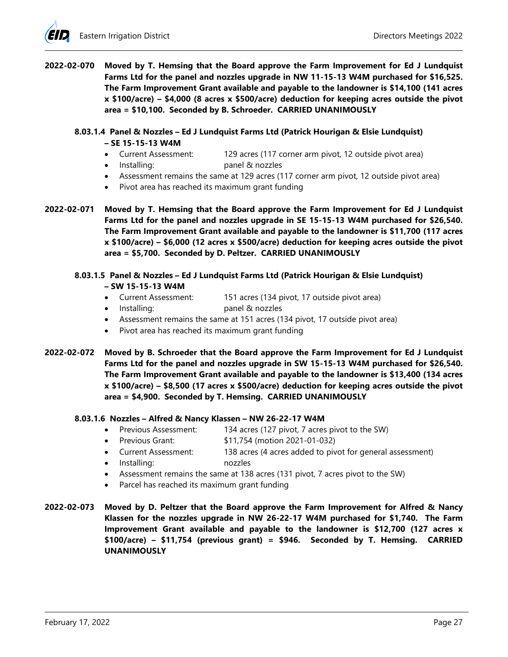**2022-02-070 Moved by T. Hemsing that the Board approve the Farm Improvement for Ed J Lundquist Farms Ltd for the panel and nozzles upgrade in NW 11-15-13 W4M purchased for \$16,525. The Farm Improvement Grant available and payable to the landowner is \$14,100 (141 acres x \$100/acre) – \$4,000 (8 acres x \$500/acre) deduction for keeping acres outside the pivot area = \$10,100. Seconded by B. Schroeder. CARRIED UNANIMOUSLY**

## **8.03.1.4 Panel & Nozzles – Ed J Lundquist Farms Ltd (Patrick Hourigan & Elsie Lundquist) – SE 15-15-13 W4M**

- Current Assessment: 129 acres (117 corner arm pivot, 12 outside pivot area)
- Installing: panel & nozzles
- Assessment remains the same at 129 acres (117 corner arm pivot, 12 outside pivot area)
- Pivot area has reached its maximum grant funding
- **2022-02-071 Moved by T. Hemsing that the Board approve the Farm Improvement for Ed J Lundquist Farms Ltd for the panel and nozzles upgrade in SE 15-15-13 W4M purchased for \$26,540. The Farm Improvement Grant available and payable to the landowner is \$11,700 (117 acres x \$100/acre) – \$6,000 (12 acres x \$500/acre) deduction for keeping acres outside the pivot area = \$5,700. Seconded by D. Peltzer. CARRIED UNANIMOUSLY**
	- **8.03.1.5 Panel & Nozzles – Ed J Lundquist Farms Ltd (Patrick Hourigan & Elsie Lundquist) – SW 15-15-13 W4M**
		- Current Assessment: 151 acres (134 pivot, 17 outside pivot area)
		- Installing: panel & nozzles
		- Assessment remains the same at 151 acres (134 pivot, 17 outside pivot area)
		- Pivot area has reached its maximum grant funding
- **2022-02-072 Moved by B. Schroeder that the Board approve the Farm Improvement for Ed J Lundquist Farms Ltd for the panel and nozzles upgrade in SW 15-15-13 W4M purchased for \$26,540. The Farm Improvement Grant available and payable to the landowner is \$13,400 (134 acres x \$100/acre) – \$8,500 (17 acres x \$500/acre) deduction for keeping acres outside the pivot area = \$4,900. Seconded by T. Hemsing. CARRIED UNANIMOUSLY**

### **8.03.1.6 Nozzles – Alfred & Nancy Klassen – NW 26-22-17 W4M**

- Previous Assessment: 134 acres (127 pivot, 7 acres pivot to the SW)
- Previous Grant: \$11,754 (motion 2021-01-032)
- Current Assessment: 138 acres (4 acres added to pivot for general assessment)
- Installing: nozzles
- Assessment remains the same at 138 acres (131 pivot, 7 acres pivot to the SW)
- Parcel has reached its maximum grant funding
- **2022-02-073 Moved by D. Peltzer that the Board approve the Farm Improvement for Alfred & Nancy Klassen for the nozzles upgrade in NW 26-22-17 W4M purchased for \$1,740. The Farm Improvement Grant available and payable to the landowner is \$12,700 (127 acres x \$100/acre) – \$11,754 (previous grant) = \$946. Seconded by T. Hemsing. CARRIED UNANIMOUSLY**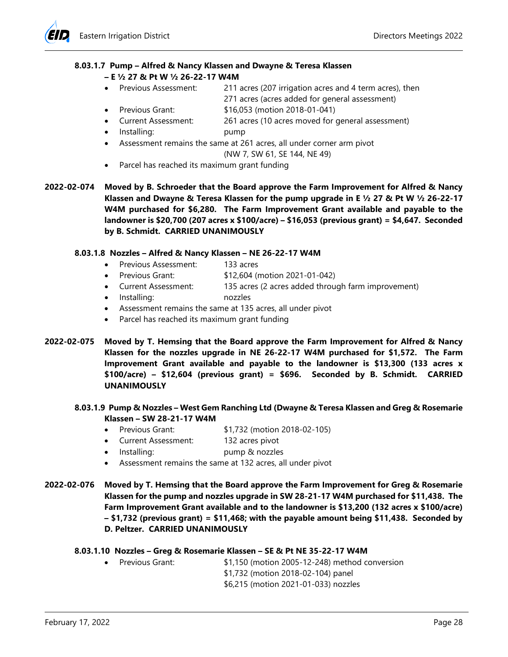### **8.03.1.7 Pump – Alfred & Nancy Klassen and Dwayne & Teresa Klassen**

- **– E ½ 27 & Pt W ½ 26-22-17 W4M**
- Previous Assessment: 211 acres (207 irrigation acres and 4 term acres), then
	- 271 acres (acres added for general assessment)
- Previous Grant: \$16,053 (motion 2018-01-041)
- Current Assessment: 261 acres (10 acres moved for general assessment)
- Installing: pump
- Assessment remains the same at 261 acres, all under corner arm pivot (NW 7, SW 61, SE 144, NE 49)
- Parcel has reached its maximum grant funding
- **2022-02-074 Moved by B. Schroeder that the Board approve the Farm Improvement for Alfred & Nancy Klassen and Dwayne & Teresa Klassen for the pump upgrade in E ½ 27 & Pt W ½ 26-22-17 W4M purchased for \$6,280. The Farm Improvement Grant available and payable to the landowner is \$20,700 (207 acres x \$100/acre) – \$16,053 (previous grant) = \$4,647. Seconded by B. Schmidt. CARRIED UNANIMOUSLY**

# **8.03.1.8 Nozzles – Alfred & Nancy Klassen – NE 26-22-17 W4M**

- Previous Assessment: 133 acres
- Previous Grant: \$12,604 (motion 2021-01-042)
- Current Assessment: 135 acres (2 acres added through farm improvement)
- Installing: nozzles
- Assessment remains the same at 135 acres, all under pivot
- Parcel has reached its maximum grant funding
- **2022-02-075 Moved by T. Hemsing that the Board approve the Farm Improvement for Alfred & Nancy Klassen for the nozzles upgrade in NE 26-22-17 W4M purchased for \$1,572. The Farm Improvement Grant available and payable to the landowner is \$13,300 (133 acres x \$100/acre) – \$12,604 (previous grant) = \$696. Seconded by B. Schmidt. CARRIED UNANIMOUSLY**

### **8.03.1.9 Pump & Nozzles – West Gem Ranching Ltd (Dwayne & Teresa Klassen and Greg & Rosemarie Klassen – SW 28-21-17 W4M**

- Previous Grant: \$1,732 (motion 2018-02-105)
- Current Assessment: 132 acres pivot
- Installing: pump & nozzles
- Assessment remains the same at 132 acres, all under pivot
- **2022-02-076 Moved by T. Hemsing that the Board approve the Farm Improvement for Greg & Rosemarie Klassen for the pump and nozzles upgrade in SW 28-21-17 W4M purchased for \$11,438. The Farm Improvement Grant available and to the landowner is \$13,200 (132 acres x \$100/acre) – \$1,732 (previous grant) = \$11,468; with the payable amount being \$11,438. Seconded by D. Peltzer. CARRIED UNANIMOUSLY**

### **8.03.1.10 Nozzles – Greg & Rosemarie Klassen – SE & Pt NE 35-22-17 W4M**

- Previous Grant: \$1,150 (motion 2005-12-248) method conversion \$1,732 (motion 2018-02-104) panel
	- \$6,215 (motion 2021-01-033) nozzles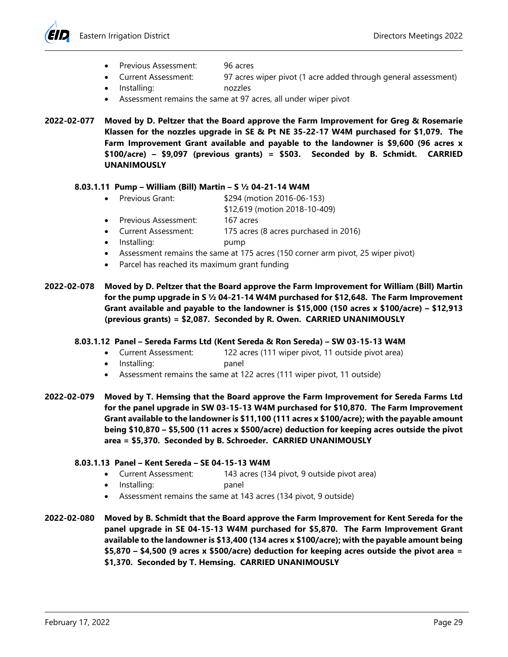- Previous Assessment: 96 acres
	-
	- Current Assessment: 97 acres wiper pivot (1 acre added through general assessment)
- Installing: nozzles
- Assessment remains the same at 97 acres, all under wiper pivot

**2022-02-077 Moved by D. Peltzer that the Board approve the Farm Improvement for Greg & Rosemarie Klassen for the nozzles upgrade in SE & Pt NE 35-22-17 W4M purchased for \$1,079. The Farm Improvement Grant available and payable to the landowner is \$9,600 (96 acres x \$100/acre) – \$9,097 (previous grants) = \$503. Seconded by B. Schmidt. CARRIED UNANIMOUSLY**

# **8.03.1.11 Pump – William (Bill) Martin – S ½ 04-21-14 W4M**

- Previous Grant: \$294 (motion 2016-06-153)
	- \$12,619 (motion 2018-10-409)
- Previous Assessment: 167 acres
- Current Assessment: 175 acres (8 acres purchased in 2016)
- Installing: pump
- Assessment remains the same at 175 acres (150 corner arm pivot, 25 wiper pivot)
- Parcel has reached its maximum grant funding

**2022-02-078 Moved by D. Peltzer that the Board approve the Farm Improvement for William (Bill) Martin for the pump upgrade in S ½ 04-21-14 W4M purchased for \$12,648. The Farm Improvement Grant available and payable to the landowner is \$15,000 (150 acres x \$100/acre) – \$12,913 (previous grants) = \$2,087. Seconded by R. Owen. CARRIED UNANIMOUSLY**

### **8.03.1.12 Panel – Sereda Farms Ltd (Kent Sereda & Ron Sereda) – SW 03-15-13 W4M**

- Current Assessment: 122 acres (111 wiper pivot, 11 outside pivot area)
- Installing: panel
- Assessment remains the same at 122 acres (111 wiper pivot, 11 outside)

**2022-02-079 Moved by T. Hemsing that the Board approve the Farm Improvement for Sereda Farms Ltd for the panel upgrade in SW 03-15-13 W4M purchased for \$10,870. The Farm Improvement Grant available to the landowner is \$11,100 (111 acres x \$100/acre); with the payable amount being \$10,870 – \$5,500 (11 acres x \$500/acre) deduction for keeping acres outside the pivot area = \$5,370. Seconded by B. Schroeder. CARRIED UNANIMOUSLY**

## **8.03.1.13 Panel – Kent Sereda – SE 04-15-13 W4M**

- Current Assessment: 143 acres (134 pivot, 9 outside pivot area)
- Installing: panel
- Assessment remains the same at 143 acres (134 pivot, 9 outside)
- **2022-02-080 Moved by B. Schmidt that the Board approve the Farm Improvement for Kent Sereda for the panel upgrade in SE 04-15-13 W4M purchased for \$5,870. The Farm Improvement Grant available to the landowner is \$13,400 (134 acres x \$100/acre); with the payable amount being \$5,870 – \$4,500 (9 acres x \$500/acre) deduction for keeping acres outside the pivot area = \$1,370. Seconded by T. Hemsing. CARRIED UNANIMOUSLY**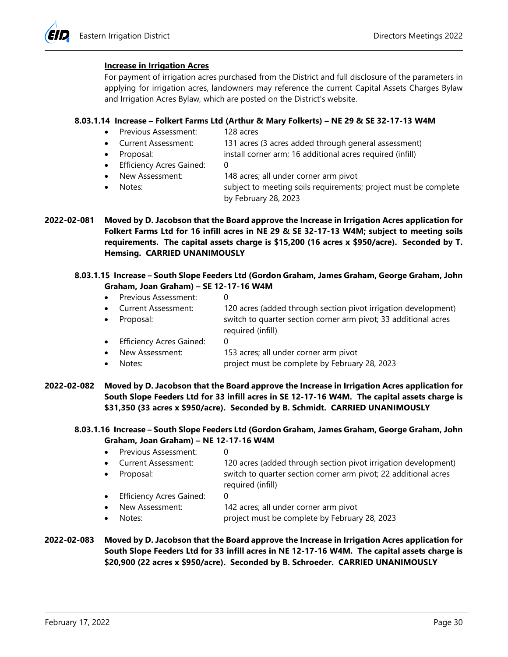#### **Increase in Irrigation Acres**

For payment of irrigation acres purchased from the District and full disclosure of the parameters in applying for irrigation acres, landowners may reference the current Capital Assets Charges Bylaw and Irrigation Acres Bylaw, which are posted on the District's website.

### **8.03.1.14 Increase – Folkert Farms Ltd (Arthur & Mary Folkerts) – NE 29 & SE 32-17-13 W4M**

- Previous Assessment: 128 acres
- Current Assessment: 131 acres (3 acres added through general assessment)
- Proposal: install corner arm; 16 additional acres required (infill)
- Efficiency Acres Gained: 0
- New Assessment: 148 acres; all under corner arm pivot
- Notes:<br>
subject to meeting soils requirements; project must be complete by February 28, 2023
- **2022-02-081 Moved by D. Jacobson that the Board approve the Increase in Irrigation Acres application for Folkert Farms Ltd for 16 infill acres in NE 29 & SE 32-17-13 W4M; subject to meeting soils requirements. The capital assets charge is \$15,200 (16 acres x \$950/acre). Seconded by T. Hemsing. CARRIED UNANIMOUSLY**

#### **8.03.1.15 Increase – South Slope Feeders Ltd (Gordon Graham, James Graham, George Graham, John Graham, Joan Graham) – SE 12-17-16 W4M**

- Previous Assessment: 0
- Current Assessment: 120 acres (added through section pivot irrigation development) • Proposal: switch to quarter section corner arm pivot; 33 additional acres
- required (infill) • Efficiency Acres Gained:
- New Assessment: 153 acres; all under corner arm pivot
- Notes: **project must be complete by February 28, 2023**
- **2022-02-082 Moved by D. Jacobson that the Board approve the Increase in Irrigation Acres application for South Slope Feeders Ltd for 33 infill acres in SE 12-17-16 W4M. The capital assets charge is \$31,350 (33 acres x \$950/acre). Seconded by B. Schmidt. CARRIED UNANIMOUSLY**

### **8.03.1.16 Increase – South Slope Feeders Ltd (Gordon Graham, James Graham, George Graham, John Graham, Joan Graham) – NE 12-17-16 W4M**

- Previous Assessment: 0 • Current Assessment: 120 acres (added through section pivot irrigation development) • Proposal: switch to quarter section corner arm pivot; 22 additional acres required (infill) • Efficiency Acres Gained: 0 New Assessment: 142 acres; all under corner arm pivot • Notes: project must be complete by February 28, 2023
- **2022-02-083 Moved by D. Jacobson that the Board approve the Increase in Irrigation Acres application for South Slope Feeders Ltd for 33 infill acres in NE 12-17-16 W4M. The capital assets charge is \$20,900 (22 acres x \$950/acre). Seconded by B. Schroeder. CARRIED UNANIMOUSLY**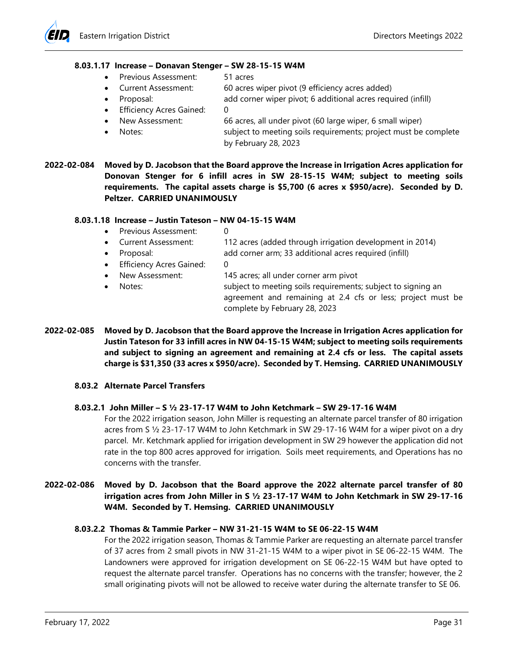### **8.03.1.17 Increase – Donavan Stenger – SW 28-15-15 W4M**

- Previous Assessment: 51 acres
- Current Assessment: 60 acres wiper pivot (9 efficiency acres added)
- Proposal: add corner wiper pivot; 6 additional acres required (infill)
- Efficiency Acres Gained: 0
- New Assessment: 66 acres, all under pivot (60 large wiper, 6 small wiper)
- Notes: subject to meeting soils requirements; project must be complete
	- by February 28, 2023
- **2022-02-084 Moved by D. Jacobson that the Board approve the Increase in Irrigation Acres application for Donovan Stenger for 6 infill acres in SW 28-15-15 W4M; subject to meeting soils requirements. The capital assets charge is \$5,700 (6 acres x \$950/acre). Seconded by D. Peltzer. CARRIED UNANIMOUSLY**

### **8.03.1.18 Increase – Justin Tateson – NW 04-15-15 W4M**

- Previous Assessment: 0
- Current Assessment: 112 acres (added through irrigation development in 2014)
- Proposal: add corner arm; 33 additional acres required (infill)
- **Efficiency Acres Gained: 0** 
	- New Assessment: 145 acres; all under corner arm pivot
- Notes: subject to meeting soils requirements; subject to signing an agreement and remaining at 2.4 cfs or less; project must be complete by February 28, 2023
- **2022-02-085 Moved by D. Jacobson that the Board approve the Increase in Irrigation Acres application for Justin Tateson for 33 infill acres in NW 04-15-15 W4M; subject to meeting soils requirements and subject to signing an agreement and remaining at 2.4 cfs or less. The capital assets charge is \$31,350 (33 acres x \$950/acre). Seconded by T. Hemsing. CARRIED UNANIMOUSLY**

### **8.03.2 Alternate Parcel Transfers**

### **8.03.2.1 John Miller – S ½ 23-17-17 W4M to John Ketchmark – SW 29-17-16 W4M**

For the 2022 irrigation season, John Miller is requesting an alternate parcel transfer of 80 irrigation acres from S ½ 23-17-17 W4M to John Ketchmark in SW 29-17-16 W4M for a wiper pivot on a dry parcel. Mr. Ketchmark applied for irrigation development in SW 29 however the application did not rate in the top 800 acres approved for irrigation. Soils meet requirements, and Operations has no concerns with the transfer.

# **2022-02-086 Moved by D. Jacobson that the Board approve the 2022 alternate parcel transfer of 80 irrigation acres from John Miller in S ½ 23-17-17 W4M to John Ketchmark in SW 29-17-16 W4M. Seconded by T. Hemsing. CARRIED UNANIMOUSLY**

# **8.03.2.2 Thomas & Tammie Parker – NW 31-21-15 W4M to SE 06-22-15 W4M**

For the 2022 irrigation season, Thomas & Tammie Parker are requesting an alternate parcel transfer of 37 acres from 2 small pivots in NW 31-21-15 W4M to a wiper pivot in SE 06-22-15 W4M. The Landowners were approved for irrigation development on SE 06-22-15 W4M but have opted to request the alternate parcel transfer. Operations has no concerns with the transfer; however, the 2 small originating pivots will not be allowed to receive water during the alternate transfer to SE 06.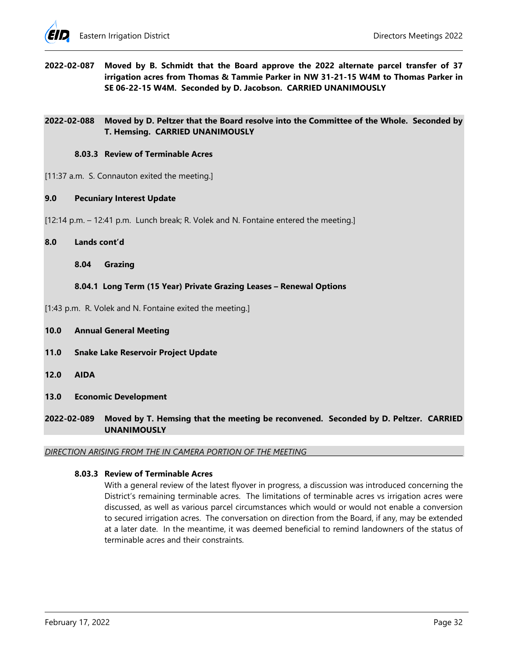**2022-02-087 Moved by B. Schmidt that the Board approve the 2022 alternate parcel transfer of 37 irrigation acres from Thomas & Tammie Parker in NW 31-21-15 W4M to Thomas Parker in SE 06-22-15 W4M. Seconded by D. Jacobson. CARRIED UNANIMOUSLY**

### **2022-02-088 Moved by D. Peltzer that the Board resolve into the Committee of the Whole. Seconded by T. Hemsing. CARRIED UNANIMOUSLY**

#### **8.03.3 Review of Terminable Acres**

- [11:37 a.m. S. Connauton exited the meeting.]
- **9.0 Pecuniary Interest Update**
- [12:14 p.m. 12:41 p.m. Lunch break; R. Volek and N. Fontaine entered the meeting.]

#### **8.0 Lands cont'd**

**8.04 Grazing**

### **8.04.1 Long Term (15 Year) Private Grazing Leases – Renewal Options**

[1:43 p.m. R. Volek and N. Fontaine exited the meeting.]

- **10.0 Annual General Meeting**
- **11.0 Snake Lake Reservoir Project Update**
- **12.0 AIDA**
- **13.0 Economic Development**
- **2022-02-089 Moved by T. Hemsing that the meeting be reconvened. Seconded by D. Peltzer. CARRIED UNANIMOUSLY**

#### *DIRECTION ARISING FROM THE IN CAMERA PORTION OF THE MEETING*

### **8.03.3 Review of Terminable Acres**

With a general review of the latest flyover in progress, a discussion was introduced concerning the District's remaining terminable acres. The limitations of terminable acres vs irrigation acres were discussed, as well as various parcel circumstances which would or would not enable a conversion to secured irrigation acres. The conversation on direction from the Board, if any, may be extended at a later date. In the meantime, it was deemed beneficial to remind landowners of the status of terminable acres and their constraints.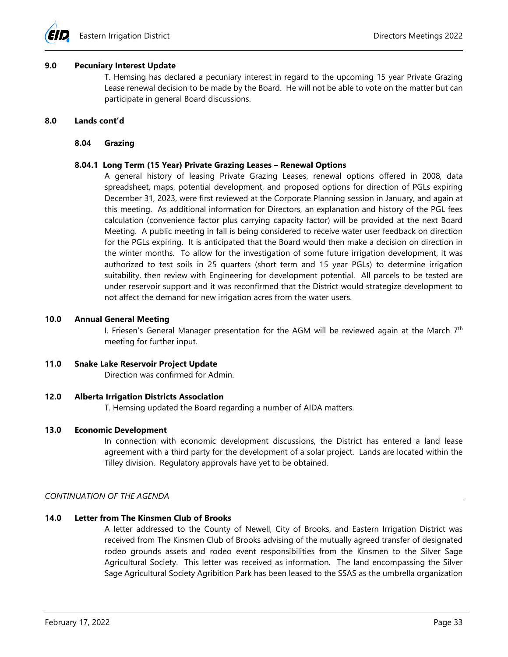

#### **9.0 Pecuniary Interest Update**

T. Hemsing has declared a pecuniary interest in regard to the upcoming 15 year Private Grazing Lease renewal decision to be made by the Board. He will not be able to vote on the matter but can participate in general Board discussions.

#### **8.0 Lands cont'd**

#### **8.04 Grazing**

#### **8.04.1 Long Term (15 Year) Private Grazing Leases – Renewal Options**

A general history of leasing Private Grazing Leases, renewal options offered in 2008, data spreadsheet, maps, potential development, and proposed options for direction of PGLs expiring December 31, 2023, were first reviewed at the Corporate Planning session in January, and again at this meeting. As additional information for Directors, an explanation and history of the PGL fees calculation (convenience factor plus carrying capacity factor) will be provided at the next Board Meeting. A public meeting in fall is being considered to receive water user feedback on direction for the PGLs expiring. It is anticipated that the Board would then make a decision on direction in the winter months. To allow for the investigation of some future irrigation development, it was authorized to test soils in 25 quarters (short term and 15 year PGLs) to determine irrigation suitability, then review with Engineering for development potential. All parcels to be tested are under reservoir support and it was reconfirmed that the District would strategize development to not affect the demand for new irrigation acres from the water users.

#### **10.0 Annual General Meeting**

I. Friesen's General Manager presentation for the AGM will be reviewed again at the March  $7<sup>th</sup>$ meeting for further input.

### **11.0 Snake Lake Reservoir Project Update**

Direction was confirmed for Admin.

#### **12.0 Alberta Irrigation Districts Association**

T. Hemsing updated the Board regarding a number of AIDA matters.

### **13.0 Economic Development**

In connection with economic development discussions, the District has entered a land lease agreement with a third party for the development of a solar project. Lands are located within the Tilley division. Regulatory approvals have yet to be obtained.

#### *CONTINUATION OF THE AGENDA*

### **14.0 Letter from The Kinsmen Club of Brooks**

A letter addressed to the County of Newell, City of Brooks, and Eastern Irrigation District was received from The Kinsmen Club of Brooks advising of the mutually agreed transfer of designated rodeo grounds assets and rodeo event responsibilities from the Kinsmen to the Silver Sage Agricultural Society. This letter was received as information. The land encompassing the Silver Sage Agricultural Society Agribition Park has been leased to the SSAS as the umbrella organization